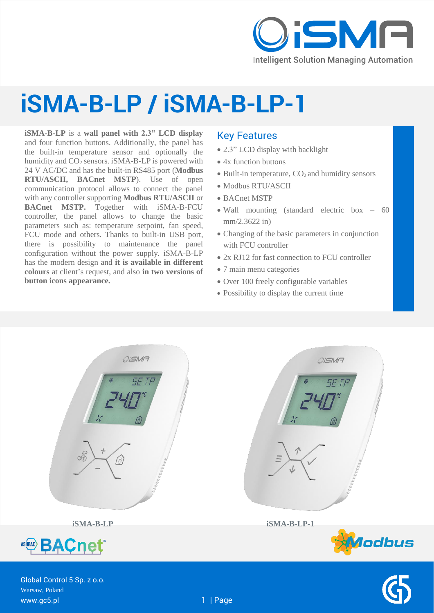

## **iSMA-B-LP / iSMA-B-LP-1**

**iSMA-B-LP** is a **wall panel with 2.3" LCD display** and four function buttons. Additionally, the panel has the built-in temperature sensor and optionally the humidity and  $CO<sub>2</sub>$  sensors. iSMA-B-LP is powered with 24 V AC/DC and has the built-in RS485 port (**Modbus RTU/ASCII, BACnet MSTP**). Use of open communication protocol allows to connect the panel with any controller supporting **Modbus RTU/ASCII** or **BACnet MSTP.** Together with iSMA-B-FCU controller, the panel allows to change the basic parameters such as: temperature setpoint, fan speed, FCU mode and others. Thanks to built-in USB port, there is possibility to maintenance the panel configuration without the power supply. iSMA-B-LP has the modern design and **it is available in different colours** at client's request, and also **in two versions of button icons appearance.**

#### Key Features

- 2.3" LCD display with backlight
- 4x function buttons
- $\bullet$  Built-in temperature,  $CO<sub>2</sub>$  and humidity sensors
- Modbus RTU/ASCII
- BACnet MSTP
- Wall mounting (standard electric box 60 mm/2.3622 in)
- Changing of the basic parameters in conjunction with FCU controller
- 2x RJ12 for fast connection to FCU controller
- 7 main menu categories
- Over 100 freely configurable variables
- Possibility to display the current time



**iSMA-B-LP iSMA-B-LP-1**







Global Control 5 Sp. z o.o. Warsaw, Poland www.gc5.pl 1 | Page